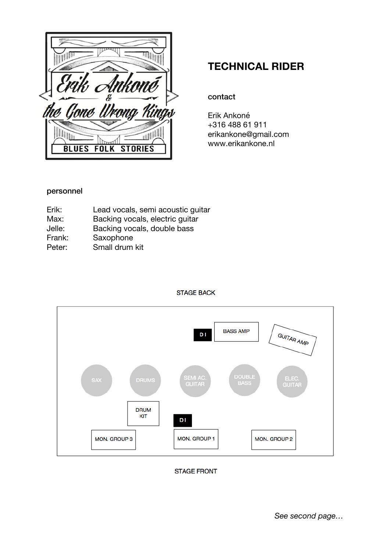$\frac{1}{\sqrt{2}}$  $\mathbb{E}\Big[$ **ANGERIA** Yik Ankoné<br>Gone Urong Kings N **TILL FOLK STORIES BLUES** 

# **TECHNICAL RIDER**

# contact

Erik Ankoné +316 488 61 911 erikankone@gmail.com www.erikankone.nl

# personnel

| Erik:  | Lead vocals, semi acoustic guitar |
|--------|-----------------------------------|
| Max:   | Backing vocals, electric guitar   |
| Jelle: | Backing vocals, double bass       |
| Frank: | Saxophone                         |
| Peter: | Small drum kit                    |
|        |                                   |



#### **STAGE BACK**